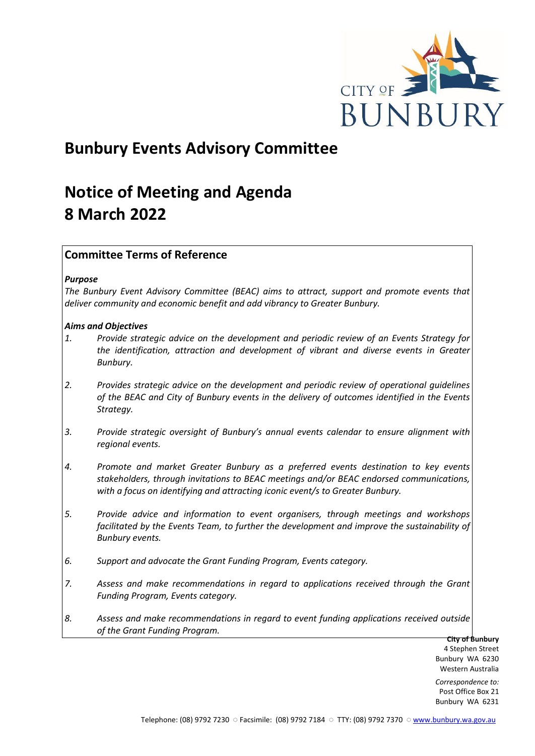

# **Bunbury Events Advisory Committee**

# **Notice of Meeting and Agenda 8 March 2022**

# **Committee Terms of Reference**

## *Purpose*

*The Bunbury Event Advisory Committee (BEAC) aims to attract, support and promote events that deliver community and economic benefit and add vibrancy to Greater Bunbury.*

## *Aims and Objectives*

- *1. Provide strategic advice on the development and periodic review of an Events Strategy for the identification, attraction and development of vibrant and diverse events in Greater Bunbury.*
- *2. Provides strategic advice on the development and periodic review of operational guidelines of the BEAC and City of Bunbury events in the delivery of outcomes identified in the Events Strategy.*
- *3. Provide strategic oversight of Bunbury's annual events calendar to ensure alignment with regional events.*
- *4. Promote and market Greater Bunbury as a preferred events destination to key events stakeholders, through invitations to BEAC meetings and/or BEAC endorsed communications, with a focus on identifying and attracting iconic event/s to Greater Bunbury.*
- *5. Provide advice and information to event organisers, through meetings and workshops*  facilitated by the Events Team, to further the development and improve the sustainability of *Bunbury events.*
- *6. Support and advocate the Grant Funding Program, Events category.*
- *7. Assess and make recommendations in regard to applications received through the Grant Funding Program, Events category.*
- *8. Assess and make recommendations in regard to event funding applications received outside of the Grant Funding Program.*

**City of Bunbury** 4 Stephen Street Bunbury WA 6230 Western Australia

*Correspondence to:* Post Office Box 21 Bunbury WA 6231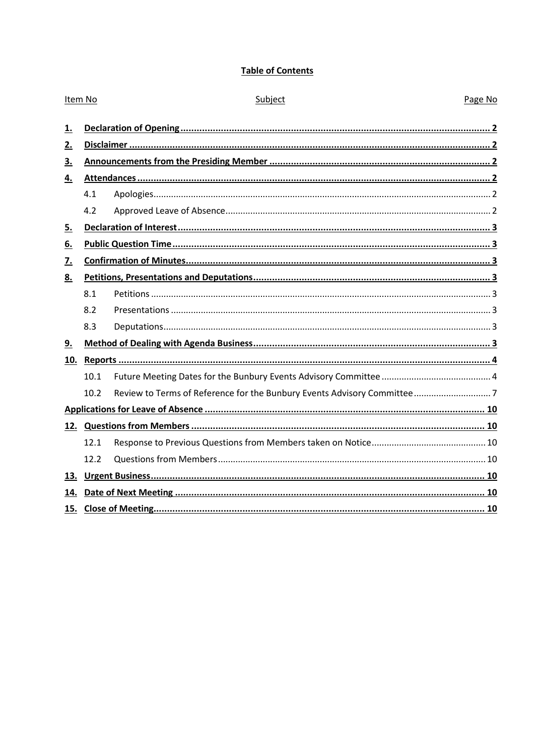# **Table of Contents**

|      | Subject        | Page No |
|------|----------------|---------|
|      |                |         |
|      |                |         |
|      |                |         |
|      |                |         |
| 4.1  |                |         |
| 4.2  |                |         |
|      |                |         |
|      |                |         |
|      |                |         |
|      |                |         |
| 8.1  |                |         |
| 8.2  |                |         |
| 8.3  |                |         |
|      |                |         |
|      |                |         |
| 10.1 |                |         |
| 10.2 |                |         |
|      |                |         |
|      |                |         |
| 12.1 |                |         |
| 12.2 |                |         |
|      |                |         |
|      |                |         |
|      |                |         |
|      | Item No<br>15. |         |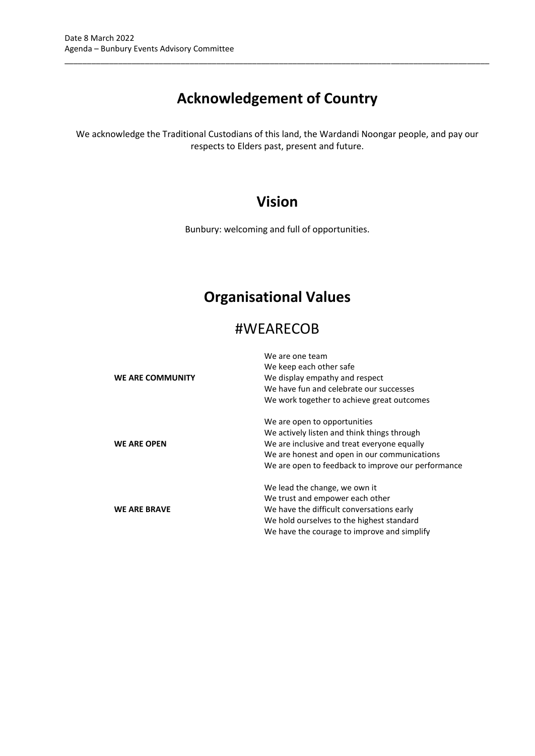# **Acknowledgement of Country**

\_\_\_\_\_\_\_\_\_\_\_\_\_\_\_\_\_\_\_\_\_\_\_\_\_\_\_\_\_\_\_\_\_\_\_\_\_\_\_\_\_\_\_\_\_\_\_\_\_\_\_\_\_\_\_\_\_\_\_\_\_\_\_\_\_\_\_\_\_\_\_\_\_\_\_\_\_\_\_\_\_\_\_\_\_\_\_\_\_\_\_\_\_\_\_

We acknowledge the Traditional Custodians of this land, the Wardandi Noongar people, and pay our respects to Elders past, present and future.

# **Vision**

Bunbury: welcoming and full of opportunities.

# **Organisational Values**

# #WEARECOB

| <b>WE ARE COMMUNITY</b> | We are one team<br>We keep each other safe<br>We display empathy and respect<br>We have fun and celebrate our successes<br>We work together to achieve great outcomes                                                            |
|-------------------------|----------------------------------------------------------------------------------------------------------------------------------------------------------------------------------------------------------------------------------|
| <b>WE ARE OPEN</b>      | We are open to opportunities<br>We actively listen and think things through<br>We are inclusive and treat everyone equally<br>We are honest and open in our communications<br>We are open to feedback to improve our performance |
| <b>WE ARE BRAVE</b>     | We lead the change, we own it<br>We trust and empower each other<br>We have the difficult conversations early<br>We hold ourselves to the highest standard<br>We have the courage to improve and simplify                        |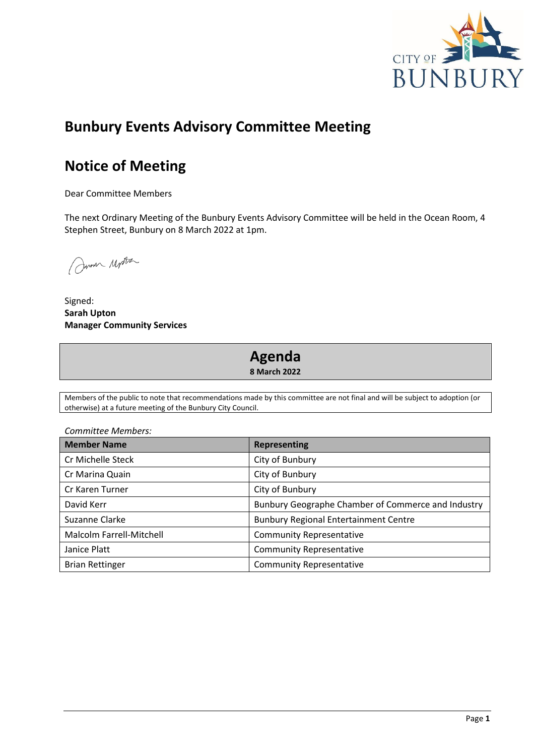

# **Bunbury Events Advisory Committee Meeting**

# **Notice of Meeting**

Dear Committee Members

The next Ordinary Meeting of the Bunbury Events Advisory Committee will be held in the Ocean Room, 4 Stephen Street, Bunbury on 8 March 2022 at 1pm.

Jum Motter

Signed: **Sarah Upton Manager Community Services**

# **Agenda**

**8 March 2022**

Members of the public to note that recommendations made by this committee are not final and will be subject to adoption (or otherwise) at a future meeting of the Bunbury City Council.

*Committee Members:*

| <b>Member Name</b>       | <b>Representing</b>                                |
|--------------------------|----------------------------------------------------|
| Cr Michelle Steck        | City of Bunbury                                    |
| Cr Marina Quain          | City of Bunbury                                    |
| Cr Karen Turner          | City of Bunbury                                    |
| David Kerr               | Bunbury Geographe Chamber of Commerce and Industry |
| Suzanne Clarke           | <b>Bunbury Regional Entertainment Centre</b>       |
| Malcolm Farrell-Mitchell | <b>Community Representative</b>                    |
| Janice Platt             | <b>Community Representative</b>                    |
| <b>Brian Rettinger</b>   | <b>Community Representative</b>                    |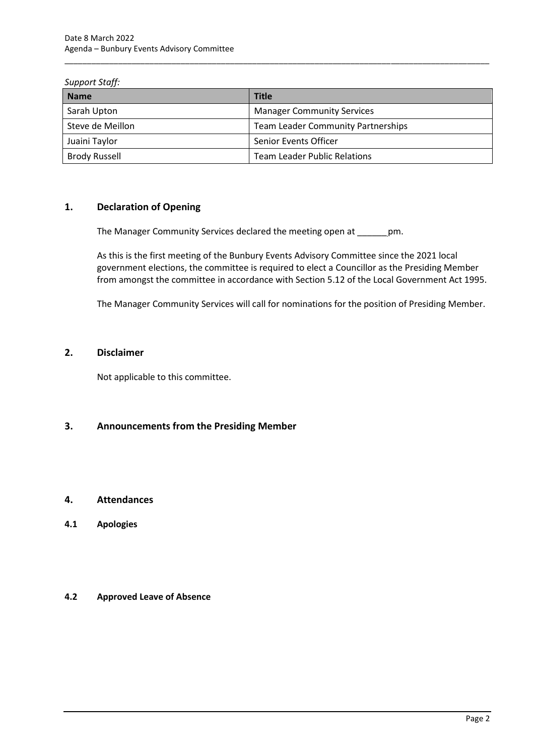## *Support Staff:*

| <b>Name</b>          | <b>Title</b>                              |
|----------------------|-------------------------------------------|
| Sarah Upton          | <b>Manager Community Services</b>         |
| Steve de Meillon     | <b>Team Leader Community Partnerships</b> |
| Juaini Taylor        | Senior Events Officer                     |
| <b>Brody Russell</b> | Team Leader Public Relations              |

\_\_\_\_\_\_\_\_\_\_\_\_\_\_\_\_\_\_\_\_\_\_\_\_\_\_\_\_\_\_\_\_\_\_\_\_\_\_\_\_\_\_\_\_\_\_\_\_\_\_\_\_\_\_\_\_\_\_\_\_\_\_\_\_\_\_\_\_\_\_\_\_\_\_\_\_\_\_\_\_\_\_\_\_\_\_\_\_\_\_\_\_\_\_\_

# <span id="page-4-0"></span>**1. Declaration of Opening**

The Manager Community Services declared the meeting open at \_\_\_\_\_\_pm.

As this is the first meeting of the Bunbury Events Advisory Committee since the 2021 local government elections, the committee is required to elect a Councillor as the Presiding Member from amongst the committee in accordance with Section 5.12 of the Local Government Act 1995.

The Manager Community Services will call for nominations for the position of Presiding Member.

# <span id="page-4-1"></span>**2. Disclaimer**

Not applicable to this committee.

# <span id="page-4-2"></span>**3. Announcements from the Presiding Member**

# <span id="page-4-3"></span>**4. Attendances**

<span id="page-4-4"></span>**4.1 Apologies**

# <span id="page-4-5"></span>**4.2 Approved Leave of Absence**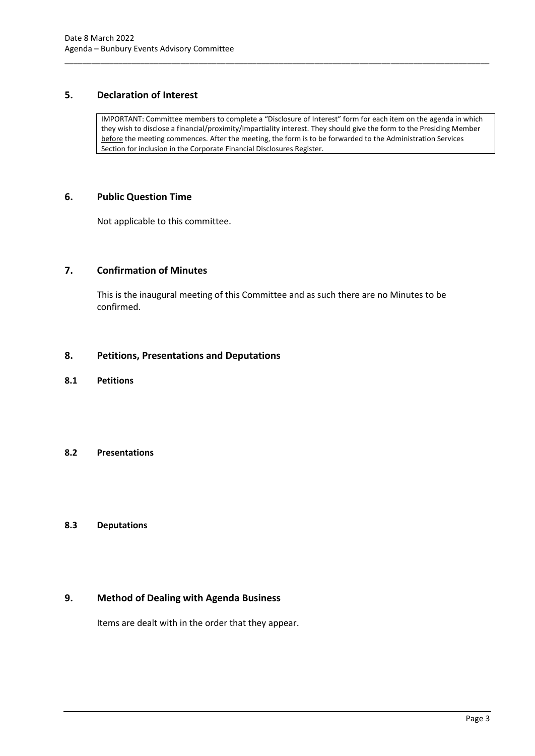# <span id="page-5-0"></span>**5. Declaration of Interest**

IMPORTANT: Committee members to complete a "Disclosure of Interest" form for each item on the agenda in which they wish to disclose a financial/proximity/impartiality interest. They should give the form to the Presiding Member before the meeting commences. After the meeting, the form is to be forwarded to the Administration Services Section for inclusion in the Corporate Financial Disclosures Register.

\_\_\_\_\_\_\_\_\_\_\_\_\_\_\_\_\_\_\_\_\_\_\_\_\_\_\_\_\_\_\_\_\_\_\_\_\_\_\_\_\_\_\_\_\_\_\_\_\_\_\_\_\_\_\_\_\_\_\_\_\_\_\_\_\_\_\_\_\_\_\_\_\_\_\_\_\_\_\_\_\_\_\_\_\_\_\_\_\_\_\_\_\_\_\_

## <span id="page-5-1"></span>**6. Public Question Time**

Not applicable to this committee.

# <span id="page-5-2"></span>**7. Confirmation of Minutes**

This is the inaugural meeting of this Committee and as such there are no Minutes to be confirmed.

## <span id="page-5-3"></span>**8. Petitions, Presentations and Deputations**

<span id="page-5-4"></span>**8.1 Petitions**

## <span id="page-5-5"></span>**8.2 Presentations**

## <span id="page-5-6"></span>**8.3 Deputations**

# <span id="page-5-7"></span>**9. Method of Dealing with Agenda Business**

Items are dealt with in the order that they appear.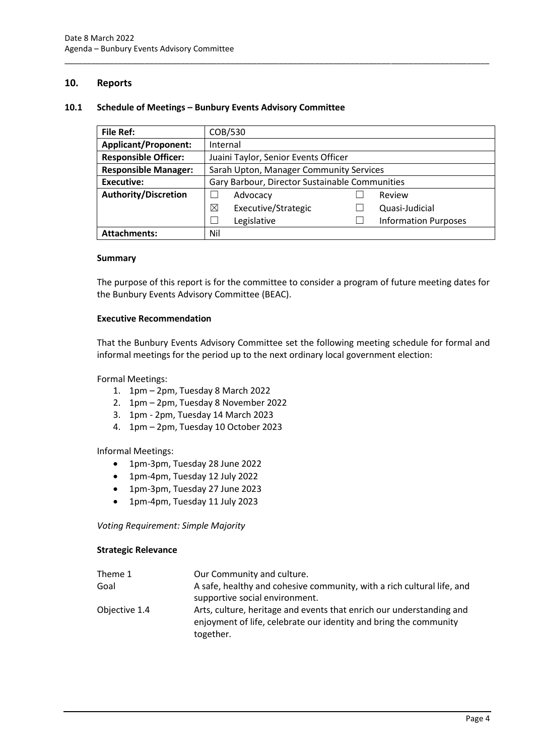## <span id="page-6-0"></span>**10. Reports**

### <span id="page-6-1"></span>**10.1 Schedule of Meetings – Bunbury Events Advisory Committee**

| <b>File Ref:</b>            | COB/530                                        |  |                             |
|-----------------------------|------------------------------------------------|--|-----------------------------|
| <b>Applicant/Proponent:</b> | Internal                                       |  |                             |
| <b>Responsible Officer:</b> | Juaini Taylor, Senior Events Officer           |  |                             |
| <b>Responsible Manager:</b> | Sarah Upton, Manager Community Services        |  |                             |
| <b>Executive:</b>           | Gary Barbour, Director Sustainable Communities |  |                             |
| <b>Authority/Discretion</b> | Advocacy                                       |  | Review                      |
|                             | ⊠<br>Executive/Strategic                       |  | Quasi-Judicial              |
|                             | Legislative                                    |  | <b>Information Purposes</b> |
| <b>Attachments:</b>         | Nil                                            |  |                             |

\_\_\_\_\_\_\_\_\_\_\_\_\_\_\_\_\_\_\_\_\_\_\_\_\_\_\_\_\_\_\_\_\_\_\_\_\_\_\_\_\_\_\_\_\_\_\_\_\_\_\_\_\_\_\_\_\_\_\_\_\_\_\_\_\_\_\_\_\_\_\_\_\_\_\_\_\_\_\_\_\_\_\_\_\_\_\_\_\_\_\_\_\_\_\_

### **Summary**

The purpose of this report is for the committee to consider a program of future meeting dates for the Bunbury Events Advisory Committee (BEAC).

### **Executive Recommendation**

That the Bunbury Events Advisory Committee set the following meeting schedule for formal and informal meetings for the period up to the next ordinary local government election:

Formal Meetings:

- 1. 1pm 2pm, Tuesday 8 March 2022
- 2. 1pm 2pm, Tuesday 8 November 2022
- 3. 1pm 2pm, Tuesday 14 March 2023
- 4. 1pm 2pm, Tuesday 10 October 2023

Informal Meetings:

- 1pm-3pm, Tuesday 28 June 2022
- 1pm-4pm, Tuesday 12 July 2022
- 1pm-3pm, Tuesday 27 June 2023
- 1pm-4pm, Tuesday 11 July 2023

*Voting Requirement: Simple Majority* 

## **Strategic Relevance**

| Theme 1       | Our Community and culture.                                                                                                                |
|---------------|-------------------------------------------------------------------------------------------------------------------------------------------|
| Goal          | A safe, healthy and cohesive community, with a rich cultural life, and<br>supportive social environment.                                  |
| Objective 1.4 | Arts, culture, heritage and events that enrich our understanding and<br>enjoyment of life, celebrate our identity and bring the community |
|               | together.                                                                                                                                 |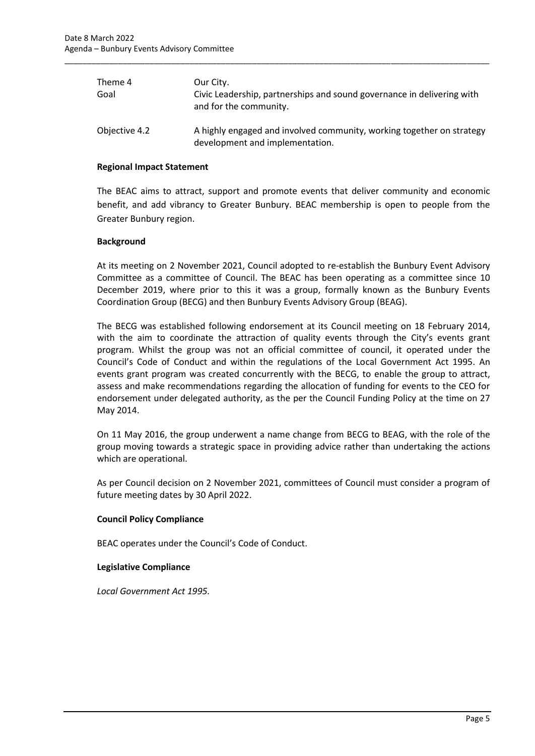| Theme 4<br>Goal | Our City.<br>Civic Leadership, partnerships and sound governance in delivering with<br>and for the community. |
|-----------------|---------------------------------------------------------------------------------------------------------------|
| Objective 4.2   | A highly engaged and involved community, working together on strategy<br>development and implementation.      |

\_\_\_\_\_\_\_\_\_\_\_\_\_\_\_\_\_\_\_\_\_\_\_\_\_\_\_\_\_\_\_\_\_\_\_\_\_\_\_\_\_\_\_\_\_\_\_\_\_\_\_\_\_\_\_\_\_\_\_\_\_\_\_\_\_\_\_\_\_\_\_\_\_\_\_\_\_\_\_\_\_\_\_\_\_\_\_\_\_\_\_\_\_\_\_

### **Regional Impact Statement**

The BEAC aims to attract, support and promote events that deliver community and economic benefit, and add vibrancy to Greater Bunbury. BEAC membership is open to people from the Greater Bunbury region.

## **Background**

At its meeting on 2 November 2021, Council adopted to re-establish the Bunbury Event Advisory Committee as a committee of Council. The BEAC has been operating as a committee since 10 December 2019, where prior to this it was a group, formally known as the Bunbury Events Coordination Group (BECG) and then Bunbury Events Advisory Group (BEAG).

The BECG was established following endorsement at its Council meeting on 18 February 2014, with the aim to coordinate the attraction of quality events through the City's events grant program. Whilst the group was not an official committee of council, it operated under the Council's Code of Conduct and within the regulations of the Local Government Act 1995. An events grant program was created concurrently with the BECG, to enable the group to attract, assess and make recommendations regarding the allocation of funding for events to the CEO for endorsement under delegated authority, as the per the Council Funding Policy at the time on 27 May 2014.

On 11 May 2016, the group underwent a name change from BECG to BEAG, with the role of the group moving towards a strategic space in providing advice rather than undertaking the actions which are operational.

As per Council decision on 2 November 2021, committees of Council must consider a program of future meeting dates by 30 April 2022.

#### **Council Policy Compliance**

BEAC operates under the Council's Code of Conduct.

#### **Legislative Compliance**

*Local Government Act 1995.*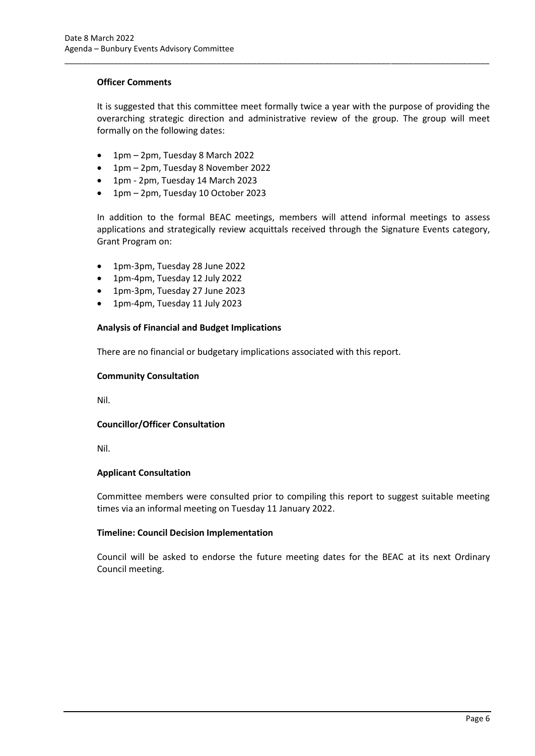## **Officer Comments**

It is suggested that this committee meet formally twice a year with the purpose of providing the overarching strategic direction and administrative review of the group. The group will meet formally on the following dates:

\_\_\_\_\_\_\_\_\_\_\_\_\_\_\_\_\_\_\_\_\_\_\_\_\_\_\_\_\_\_\_\_\_\_\_\_\_\_\_\_\_\_\_\_\_\_\_\_\_\_\_\_\_\_\_\_\_\_\_\_\_\_\_\_\_\_\_\_\_\_\_\_\_\_\_\_\_\_\_\_\_\_\_\_\_\_\_\_\_\_\_\_\_\_\_

- 1pm 2pm, Tuesday 8 March 2022
- 1pm 2pm, Tuesday 8 November 2022
- 1pm 2pm, Tuesday 14 March 2023
- 1pm 2pm, Tuesday 10 October 2023

In addition to the formal BEAC meetings, members will attend informal meetings to assess applications and strategically review acquittals received through the Signature Events category, Grant Program on:

- 1pm-3pm, Tuesday 28 June 2022
- 1pm-4pm, Tuesday 12 July 2022
- 1pm-3pm, Tuesday 27 June 2023
- 1pm-4pm, Tuesday 11 July 2023

## **Analysis of Financial and Budget Implications**

There are no financial or budgetary implications associated with this report.

## **Community Consultation**

Nil.

## **Councillor/Officer Consultation**

Nil.

## **Applicant Consultation**

Committee members were consulted prior to compiling this report to suggest suitable meeting times via an informal meeting on Tuesday 11 January 2022.

## **Timeline: Council Decision Implementation**

Council will be asked to endorse the future meeting dates for the BEAC at its next Ordinary Council meeting.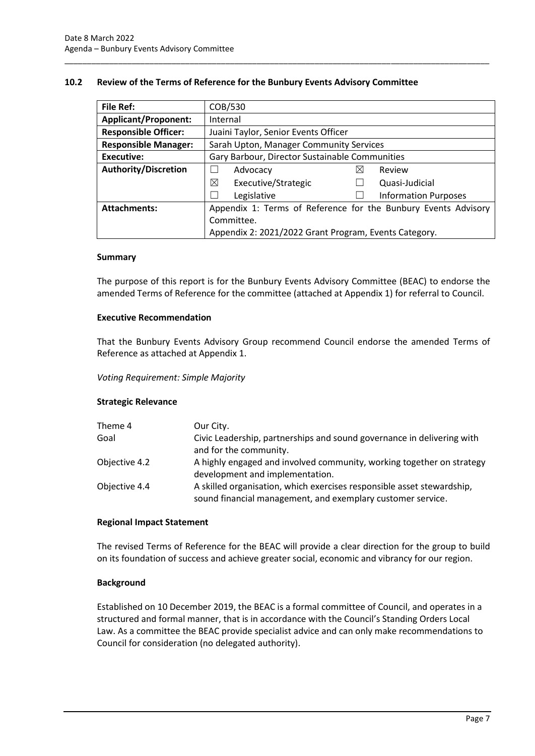## <span id="page-9-0"></span>**10.2 Review of the Terms of Reference for the Bunbury Events Advisory Committee**

\_\_\_\_\_\_\_\_\_\_\_\_\_\_\_\_\_\_\_\_\_\_\_\_\_\_\_\_\_\_\_\_\_\_\_\_\_\_\_\_\_\_\_\_\_\_\_\_\_\_\_\_\_\_\_\_\_\_\_\_\_\_\_\_\_\_\_\_\_\_\_\_\_\_\_\_\_\_\_\_\_\_\_\_\_\_\_\_\_\_\_\_\_\_\_

| <b>File Ref:</b>            | COB/530                                                        |   |                             |
|-----------------------------|----------------------------------------------------------------|---|-----------------------------|
| <b>Applicant/Proponent:</b> | Internal                                                       |   |                             |
| <b>Responsible Officer:</b> | Juaini Taylor, Senior Events Officer                           |   |                             |
| <b>Responsible Manager:</b> | Sarah Upton, Manager Community Services                        |   |                             |
| <b>Executive:</b>           | Gary Barbour, Director Sustainable Communities                 |   |                             |
| <b>Authority/Discretion</b> | Advocacy                                                       | ⋉ | Review                      |
|                             | ⊠<br>Executive/Strategic                                       |   | Quasi-Judicial              |
|                             | Legislative                                                    |   | <b>Information Purposes</b> |
| <b>Attachments:</b>         | Appendix 1: Terms of Reference for the Bunbury Events Advisory |   |                             |
|                             | Committee.                                                     |   |                             |
|                             | Appendix 2: 2021/2022 Grant Program, Events Category.          |   |                             |

## **Summary**

The purpose of this report is for the Bunbury Events Advisory Committee (BEAC) to endorse the amended Terms of Reference for the committee (attached at Appendix 1) for referral to Council.

## **Executive Recommendation**

That the Bunbury Events Advisory Group recommend Council endorse the amended Terms of Reference as attached at Appendix 1.

## *Voting Requirement: Simple Majority*

## **Strategic Relevance**

| Theme 4       | Our City.                                                                                                                             |
|---------------|---------------------------------------------------------------------------------------------------------------------------------------|
| Goal          | Civic Leadership, partnerships and sound governance in delivering with<br>and for the community.                                      |
| Objective 4.2 | A highly engaged and involved community, working together on strategy<br>development and implementation.                              |
| Objective 4.4 | A skilled organisation, which exercises responsible asset stewardship,<br>sound financial management, and exemplary customer service. |

## **Regional Impact Statement**

The revised Terms of Reference for the BEAC will provide a clear direction for the group to build on its foundation of success and achieve greater social, economic and vibrancy for our region.

## **Background**

Established on 10 December 2019, the BEAC is a formal committee of Council, and operates in a structured and formal manner, that is in accordance with the Council's Standing Orders Local Law. As a committee the BEAC provide specialist advice and can only make recommendations to Council for consideration (no delegated authority).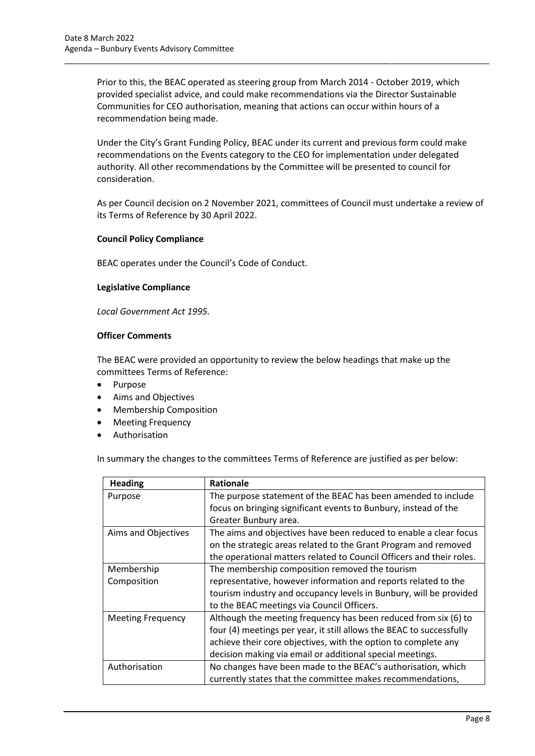Prior to this, the BEAC operated as steering group from March 2014 - October 2019, which provided specialist advice, and could make recommendations via the Director Sustainable Communities for CEO authorisation, meaning that actions can occur within hours of a recommendation being made.

\_\_\_\_\_\_\_\_\_\_\_\_\_\_\_\_\_\_\_\_\_\_\_\_\_\_\_\_\_\_\_\_\_\_\_\_\_\_\_\_\_\_\_\_\_\_\_\_\_\_\_\_\_\_\_\_\_\_\_\_\_\_\_\_\_\_\_\_\_\_\_\_\_\_\_\_\_\_\_\_\_\_\_\_\_\_\_\_\_\_\_\_\_\_\_

Under the City's Grant Funding Policy, BEAC under its current and previous form could make recommendations on the Events category to the CEO for implementation under delegated authority. All other recommendations by the Committee will be presented to council for consideration.

As per Council decision on 2 November 2021, committees of Council must undertake a review of its Terms of Reference by 30 April 2022.

## **Council Policy Compliance**

BEAC operates under the Council's Code of Conduct.

## **Legislative Compliance**

*Local Government Act 1995.*

## **Officer Comments**

The BEAC were provided an opportunity to review the below headings that make up the committees Terms of Reference:

- Purpose
- Aims and Objectives
- Membership Composition
- Meeting Frequency
- **Authorisation**

In summary the changes to the committees Terms of Reference are justified as per below:

| <b>Heading</b>            | <b>Rationale</b>                                                                                                                                                                                                                                                       |
|---------------------------|------------------------------------------------------------------------------------------------------------------------------------------------------------------------------------------------------------------------------------------------------------------------|
| Purpose                   | The purpose statement of the BEAC has been amended to include<br>focus on bringing significant events to Bunbury, instead of the<br>Greater Bunbury area.                                                                                                              |
| Aims and Objectives       | The aims and objectives have been reduced to enable a clear focus<br>on the strategic areas related to the Grant Program and removed<br>the operational matters related to Council Officers and their roles.                                                           |
| Membership<br>Composition | The membership composition removed the tourism<br>representative, however information and reports related to the<br>tourism industry and occupancy levels in Bunbury, will be provided<br>to the BEAC meetings via Council Officers.                                   |
| <b>Meeting Frequency</b>  | Although the meeting frequency has been reduced from six (6) to<br>four (4) meetings per year, it still allows the BEAC to successfully<br>achieve their core objectives, with the option to complete any<br>decision making via email or additional special meetings. |
| Authorisation             | No changes have been made to the BEAC's authorisation, which<br>currently states that the committee makes recommendations,                                                                                                                                             |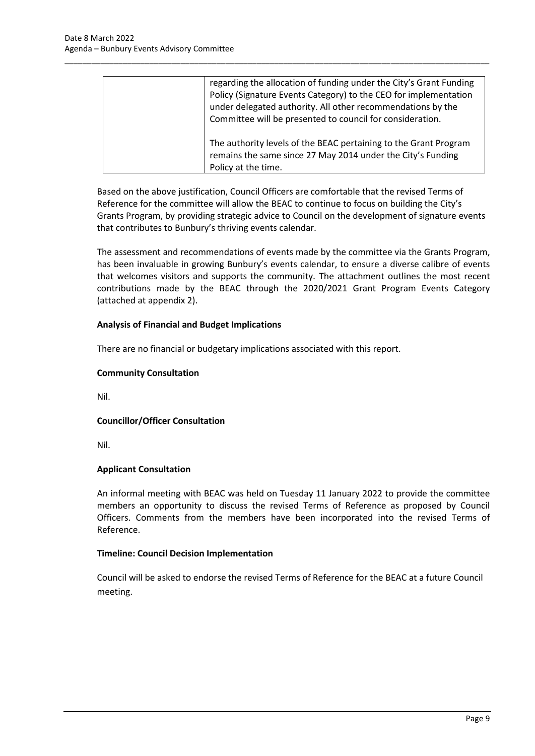| regarding the allocation of funding under the City's Grant Funding<br>Policy (Signature Events Category) to the CEO for implementation<br>under delegated authority. All other recommendations by the<br>Committee will be presented to council for consideration. |
|--------------------------------------------------------------------------------------------------------------------------------------------------------------------------------------------------------------------------------------------------------------------|
| The authority levels of the BEAC pertaining to the Grant Program<br>remains the same since 27 May 2014 under the City's Funding<br>Policy at the time.                                                                                                             |

\_\_\_\_\_\_\_\_\_\_\_\_\_\_\_\_\_\_\_\_\_\_\_\_\_\_\_\_\_\_\_\_\_\_\_\_\_\_\_\_\_\_\_\_\_\_\_\_\_\_\_\_\_\_\_\_\_\_\_\_\_\_\_\_\_\_\_\_\_\_\_\_\_\_\_\_\_\_\_\_\_\_\_\_\_\_\_\_\_\_\_\_\_\_\_

Based on the above justification, Council Officers are comfortable that the revised Terms of Reference for the committee will allow the BEAC to continue to focus on building the City's Grants Program, by providing strategic advice to Council on the development of signature events that contributes to Bunbury's thriving events calendar.

The assessment and recommendations of events made by the committee via the Grants Program, has been invaluable in growing Bunbury's events calendar, to ensure a diverse calibre of events that welcomes visitors and supports the community. The attachment outlines the most recent contributions made by the BEAC through the 2020/2021 Grant Program Events Category (attached at appendix 2).

## **Analysis of Financial and Budget Implications**

There are no financial or budgetary implications associated with this report.

## **Community Consultation**

Nil.

# **Councillor/Officer Consultation**

Nil.

# **Applicant Consultation**

An informal meeting with BEAC was held on Tuesday 11 January 2022 to provide the committee members an opportunity to discuss the revised Terms of Reference as proposed by Council Officers. Comments from the members have been incorporated into the revised Terms of Reference.

## **Timeline: Council Decision Implementation**

Council will be asked to endorse the revised Terms of Reference for the BEAC at a future Council meeting.